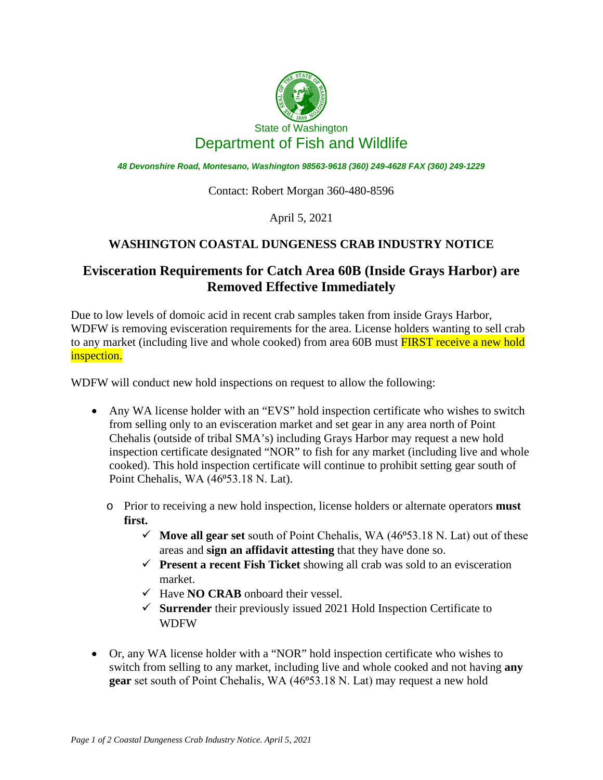

*48 Devonshire Road, Montesano, Washington 98563-9618 (360) 249-4628 FAX (360) 249-1229*

Contact: Robert Morgan 360-480-8596

April 5, 2021

## **WASHINGTON COASTAL DUNGENESS CRAB INDUSTRY NOTICE**

## **Evisceration Requirements for Catch Area 60B (Inside Grays Harbor) are Removed Effective Immediately**

Due to low levels of domoic acid in recent crab samples taken from inside Grays Harbor, WDFW is removing evisceration requirements for the area. License holders wanting to sell crab to any market (including live and whole cooked) from area 60B must **FIRST receive a new hold** inspection.

WDFW will conduct new hold inspections on request to allow the following:

- Any WA license holder with an "EVS" hold inspection certificate who wishes to switch from selling only to an evisceration market and set gear in any area north of Point Chehalis (outside of tribal SMA's) including Grays Harbor may request a new hold inspection certificate designated "NOR" to fish for any market (including live and whole cooked). This hold inspection certificate will continue to prohibit setting gear south of Point Chehalis, WA (46°53.18 N. Lat).
	- o Prior to receiving a new hold inspection, license holders or alternate operators **must first.**
		- $\checkmark$  Move all gear set south of Point Chehalis, WA (46 $\checkmark$ 53.18 N. Lat) out of these areas and **sign an affidavit attesting** that they have done so.
		- **Present a recent Fish Ticket** showing all crab was sold to an evisceration market.
		- $\checkmark$  Have **NO CRAB** onboard their vessel.
		- **Surrender** their previously issued 2021 Hold Inspection Certificate to WDFW
- Or, any WA license holder with a "NOR" hold inspection certificate who wishes to switch from selling to any market, including live and whole cooked and not having **any gear** set south of Point Chehalis, WA (46<sup>o</sup>53.18 N. Lat) may request a new hold